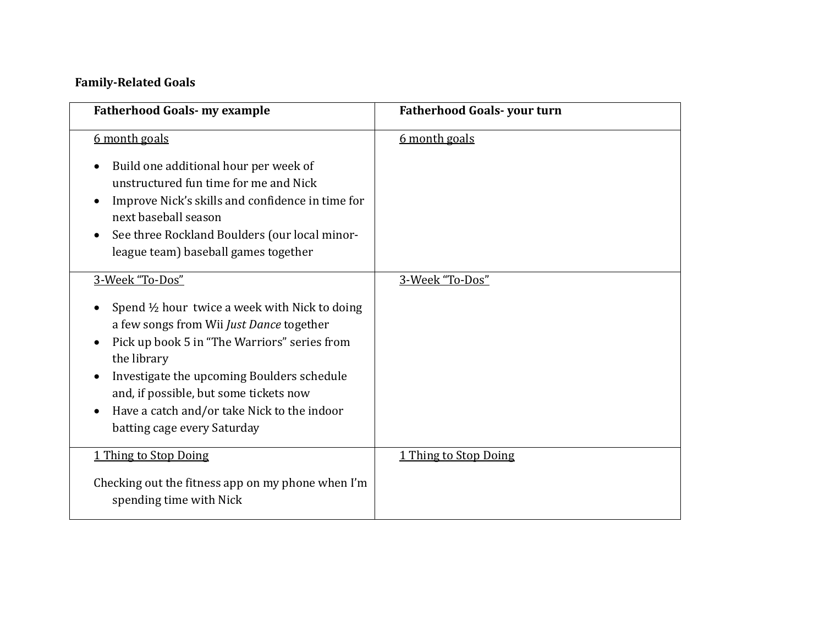## **Family-Related Goals**

| <b>Fatherhood Goals- my example</b>                                                                                                                                                                                                                                                                                                                                                    | <b>Fatherhood Goals-your turn</b> |
|----------------------------------------------------------------------------------------------------------------------------------------------------------------------------------------------------------------------------------------------------------------------------------------------------------------------------------------------------------------------------------------|-----------------------------------|
| 6 month goals<br>Build one additional hour per week of<br>unstructured fun time for me and Nick<br>Improve Nick's skills and confidence in time for<br>next baseball season<br>See three Rockland Boulders (our local minor-<br>league team) baseball games together                                                                                                                   | 6 month goals                     |
| 3-Week "To-Dos"<br>Spend $\frac{1}{2}$ hour twice a week with Nick to doing<br>a few songs from Wii Just Dance together<br>Pick up book 5 in "The Warriors" series from<br>the library<br>Investigate the upcoming Boulders schedule<br>$\bullet$<br>and, if possible, but some tickets now<br>Have a catch and/or take Nick to the indoor<br>$\bullet$<br>batting cage every Saturday | 3-Week "To-Dos"                   |
| 1 Thing to Stop Doing<br>Checking out the fitness app on my phone when I'm<br>spending time with Nick                                                                                                                                                                                                                                                                                  | 1 Thing to Stop Doing             |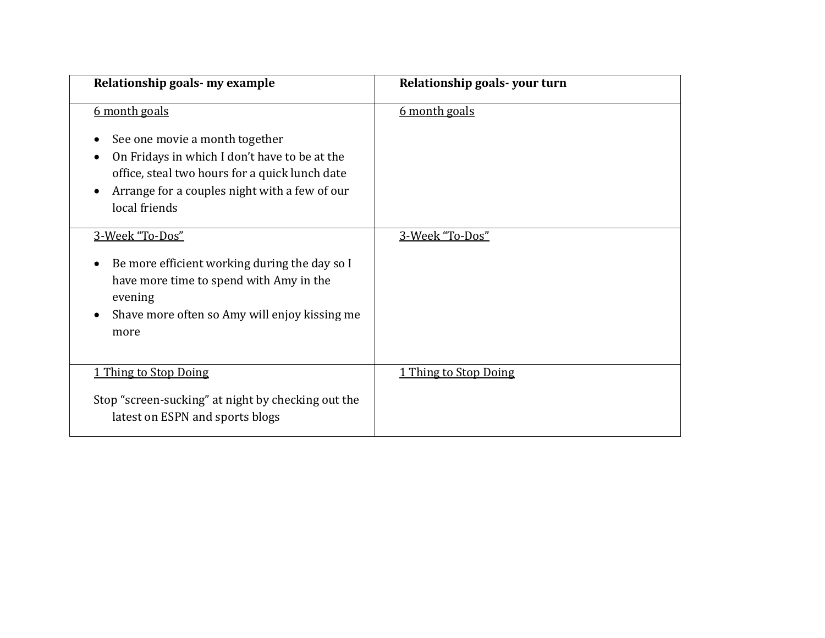| Relationship goals- my example                                                                                                                                                                                       | Relationship goals-your turn |
|----------------------------------------------------------------------------------------------------------------------------------------------------------------------------------------------------------------------|------------------------------|
| 6 month goals<br>See one movie a month together<br>On Fridays in which I don't have to be at the<br>office, steal two hours for a quick lunch date<br>Arrange for a couples night with a few of our<br>local friends | 6 month goals                |
| 3-Week "To-Dos"<br>Be more efficient working during the day so I<br>have more time to spend with Amy in the<br>evening<br>Shave more often so Amy will enjoy kissing me<br>more                                      | 3-Week "To-Dos"              |
| 1 Thing to Stop Doing<br>Stop "screen-sucking" at night by checking out the<br>latest on ESPN and sports blogs                                                                                                       | 1 Thing to Stop Doing        |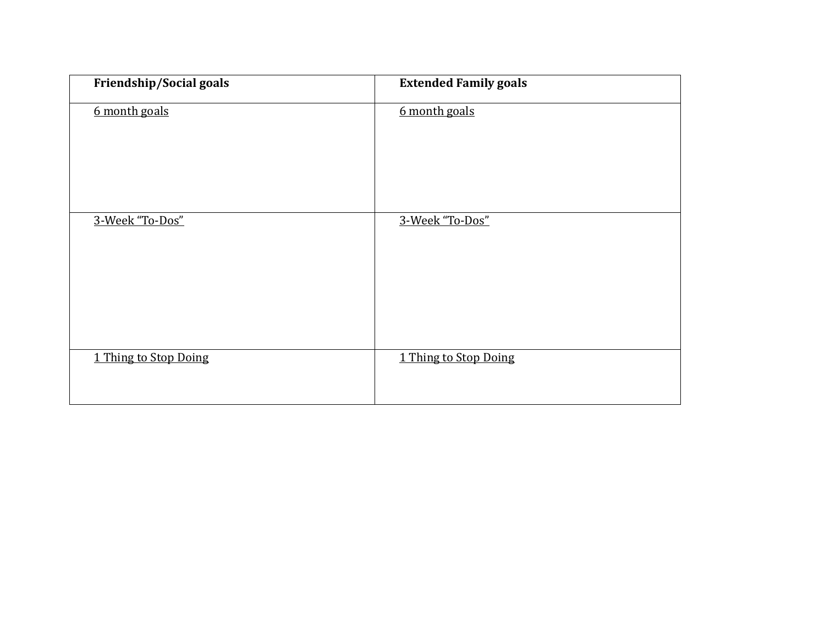| Friendship/Social goals | <b>Extended Family goals</b> |
|-------------------------|------------------------------|
| 6 month goals           | 6 month goals                |
| 3-Week "To-Dos"         | 3-Week "To-Dos"              |
| 1 Thing to Stop Doing   | 1 Thing to Stop Doing        |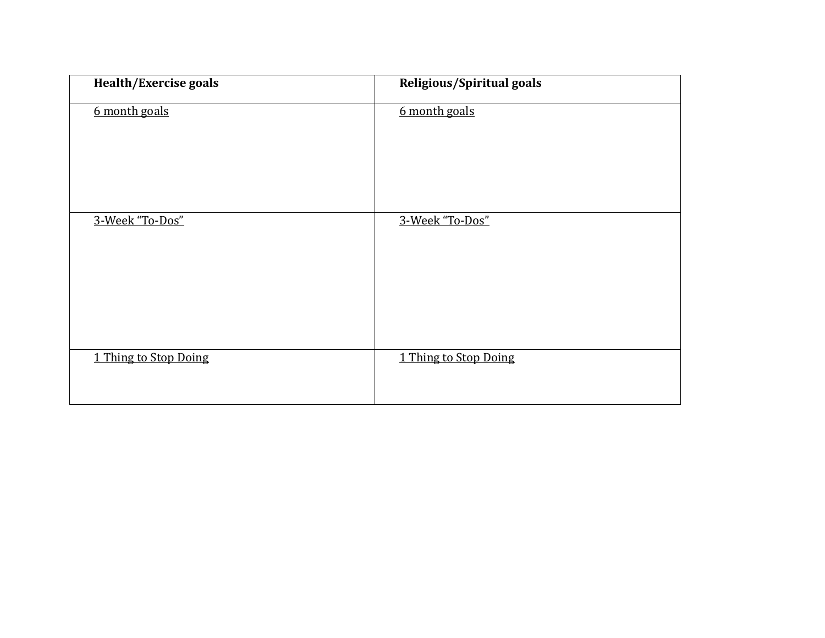| Health/Exercise goals | <b>Religious/Spiritual goals</b> |
|-----------------------|----------------------------------|
| 6 month goals         | 6 month goals                    |
| 3-Week "To-Dos"       | 3-Week "To-Dos"                  |
| 1 Thing to Stop Doing | 1 Thing to Stop Doing            |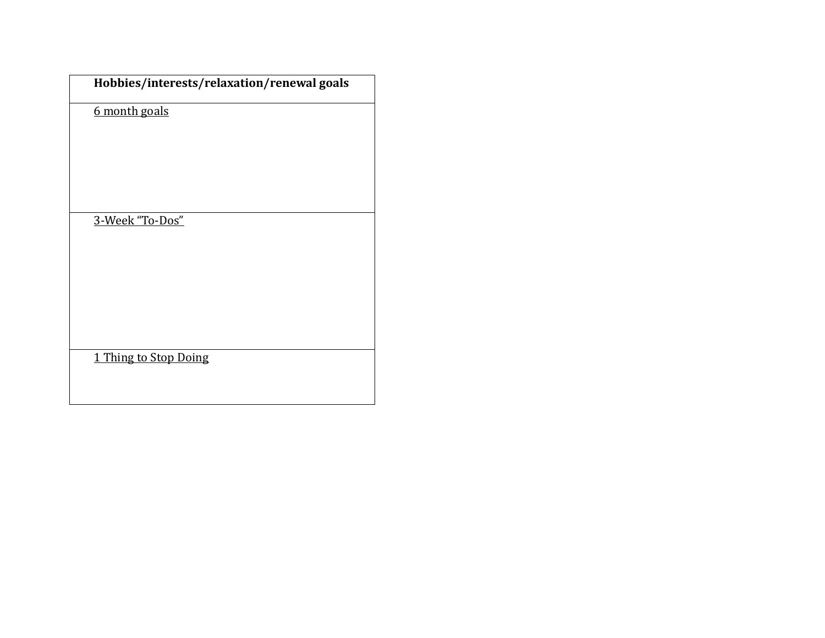|                 | Hobbies/interests/relaxation/renewal goals |
|-----------------|--------------------------------------------|
| 6 month goals   |                                            |
|                 |                                            |
|                 |                                            |
|                 |                                            |
| 3-Week "To-Dos" |                                            |
|                 |                                            |
|                 |                                            |
|                 |                                            |
|                 |                                            |
|                 | 1 Thing to Stop Doing                      |
|                 |                                            |
|                 |                                            |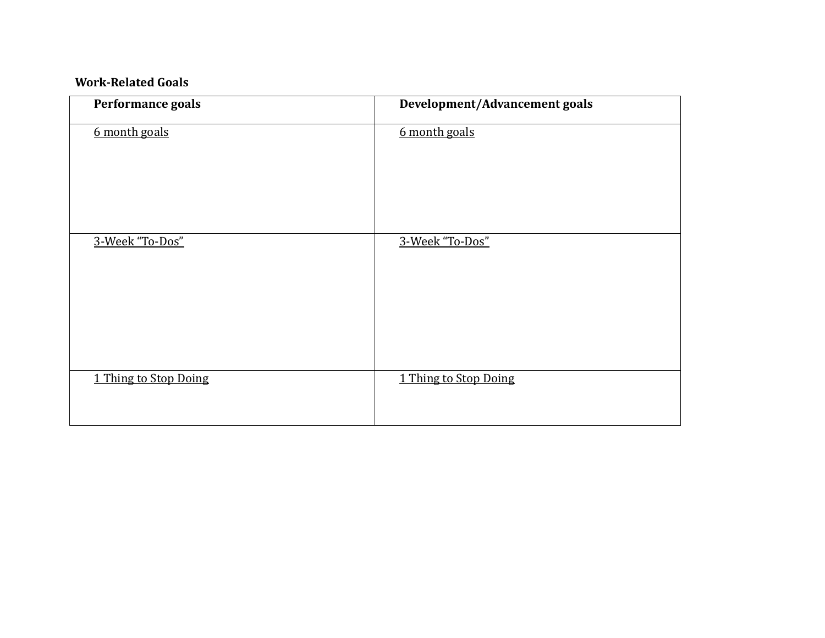## **Work-Related Goals**

| Performance goals     | Development/Advancement goals |
|-----------------------|-------------------------------|
| 6 month goals         | 6 month goals                 |
| 3-Week "To-Dos"       | 3-Week "To-Dos"               |
| 1 Thing to Stop Doing | 1 Thing to Stop Doing         |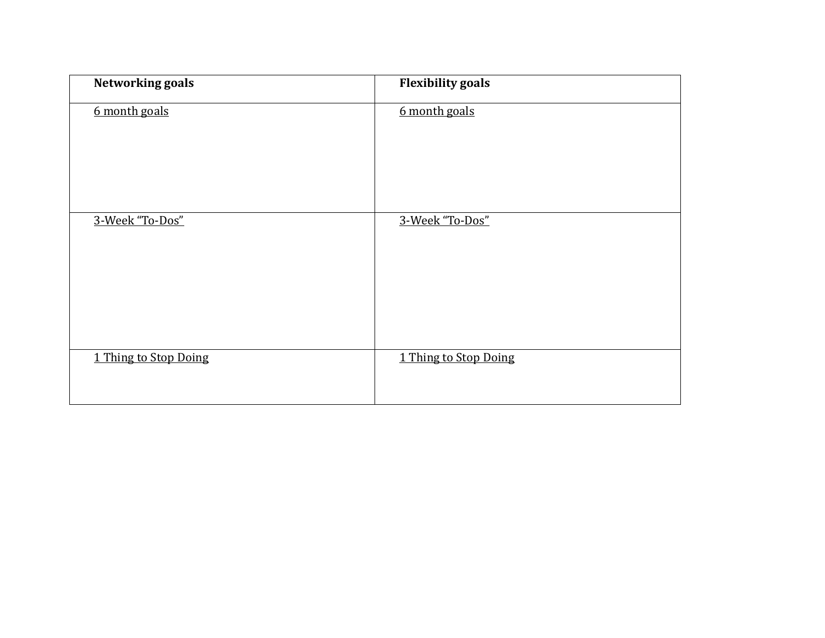| <b>Networking goals</b> | <b>Flexibility goals</b> |
|-------------------------|--------------------------|
| 6 month goals           | 6 month goals            |
| 3-Week "To-Dos"         | 3-Week "To-Dos"          |
| 1 Thing to Stop Doing   | 1 Thing to Stop Doing    |